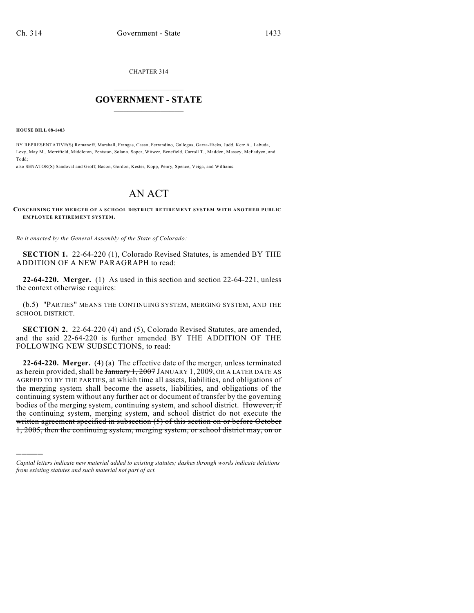CHAPTER 314

## $\mathcal{L}_\text{max}$  . The set of the set of the set of the set of the set of the set of the set of the set of the set of the set of the set of the set of the set of the set of the set of the set of the set of the set of the set **GOVERNMENT - STATE**  $\_$   $\_$   $\_$   $\_$   $\_$   $\_$   $\_$   $\_$   $\_$

**HOUSE BILL 08-1403**

)))))

BY REPRESENTATIVE(S) Romanoff, Marshall, Frangas, Casso, Ferrandino, Gallegos, Garza-Hicks, Judd, Kerr A., Labuda, Levy, May M., Merrifield, Middleton, Peniston, Solano, Soper, Witwer, Benefield, Carroll T., Madden, Massey, McFadyen, and Todd;

also SENATOR(S) Sandoval and Groff, Bacon, Gordon, Kester, Kopp, Penry, Spence, Veiga, and Williams.

## AN ACT

## **CONCERNING THE MERGER OF A SCHOOL DISTRICT RETIREMENT SYSTEM WITH ANOTHER PUBLIC EMPLOYEE RETIREMENT SYSTEM.**

*Be it enacted by the General Assembly of the State of Colorado:*

**SECTION 1.** 22-64-220 (1), Colorado Revised Statutes, is amended BY THE ADDITION OF A NEW PARAGRAPH to read:

**22-64-220. Merger.** (1) As used in this section and section 22-64-221, unless the context otherwise requires:

(b.5) "PARTIES" MEANS THE CONTINUING SYSTEM, MERGING SYSTEM, AND THE SCHOOL DISTRICT.

**SECTION 2.** 22-64-220 (4) and (5), Colorado Revised Statutes, are amended, and the said 22-64-220 is further amended BY THE ADDITION OF THE FOLLOWING NEW SUBSECTIONS, to read:

**22-64-220. Merger.** (4) (a) The effective date of the merger, unless terminated as herein provided, shall be  $\frac{1}{2007}$  JANUARY 1, 2009, OR A LATER DATE AS AGREED TO BY THE PARTIES, at which time all assets, liabilities, and obligations of the merging system shall become the assets, liabilities, and obligations of the continuing system without any further act or document of transfer by the governing bodies of the merging system, continuing system, and school district. However, if the continuing system, merging system, and school district do not execute the written agreement specified in subsection (5) of this section on or before October 1, 2005, then the continuing system, merging system, or school district may, on or

*Capital letters indicate new material added to existing statutes; dashes through words indicate deletions from existing statutes and such material not part of act.*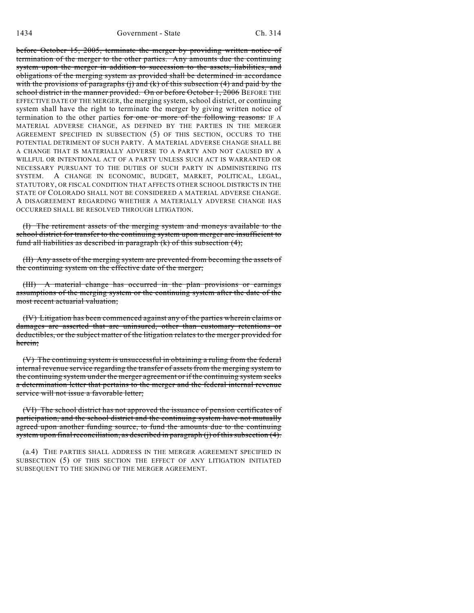before October 15, 2005, terminate the merger by providing written notice of termination of the merger to the other parties. Any amounts due the continuing system upon the merger in addition to succession to the assets, liabilities, and obligations of the merging system as provided shall be determined in accordance with the provisions of paragraphs (j) and  $(k)$  of this subsection  $(4)$  and paid by the school district in the manner provided. On or before October 1, 2006 BEFORE THE EFFECTIVE DATE OF THE MERGER, the merging system, school district, or continuing system shall have the right to terminate the merger by giving written notice of termination to the other parties for one or more of the following reasons: IF A MATERIAL ADVERSE CHANGE, AS DEFINED BY THE PARTIES IN THE MERGER AGREEMENT SPECIFIED IN SUBSECTION (5) OF THIS SECTION, OCCURS TO THE POTENTIAL DETRIMENT OF SUCH PARTY. A MATERIAL ADVERSE CHANGE SHALL BE A CHANGE THAT IS MATERIALLY ADVERSE TO A PARTY AND NOT CAUSED BY A WILLFUL OR INTENTIONAL ACT OF A PARTY UNLESS SUCH ACT IS WARRANTED OR NECESSARY PURSUANT TO THE DUTIES OF SUCH PARTY IN ADMINISTERING ITS SYSTEM. A CHANGE IN ECONOMIC, BUDGET, MARKET, POLITICAL, LEGAL, STATUTORY, OR FISCAL CONDITION THAT AFFECTS OTHER SCHOOL DISTRICTS IN THE STATE OF COLORADO SHALL NOT BE CONSIDERED A MATERIAL ADVERSE CHANGE. A DISAGREEMENT REGARDING WHETHER A MATERIALLY ADVERSE CHANGE HAS OCCURRED SHALL BE RESOLVED THROUGH LITIGATION.

(I) The retirement assets of the merging system and moneys available to the school district for transfer to the continuing system upon merger are insufficient to fund all liabilities as described in paragraph (k) of this subsection (4);

(II) Any assets of the merging system are prevented from becoming the assets of the continuing system on the effective date of the merger;

(III) A material change has occurred in the plan provisions or earnings assumptions of the merging system or the continuing system after the date of the most recent actuarial valuation;

(IV) Litigation has been commenced against any of the parties wherein claims or damages are asserted that are uninsured, other than customary retentions or deductibles, or the subject matter of the litigation relates to the merger provided for herein;

(V) The continuing system is unsuccessful in obtaining a ruling from the federal internal revenue service regarding the transfer of assets from the merging system to the continuing system under the merger agreement or if the continuing system seeks a determination letter that pertains to the merger and the federal internal revenue service will not issue a favorable letter;

(VI) The school district has not approved the issuance of pension certificates of participation, and the school district and the continuing system have not mutually agreed upon another funding source, to fund the amounts due to the continuing system upon final reconciliation, as described in paragraph (j) of this subsection (4).

(a.4) THE PARTIES SHALL ADDRESS IN THE MERGER AGREEMENT SPECIFIED IN SUBSECTION (5) OF THIS SECTION THE EFFECT OF ANY LITIGATION INITIATED SUBSEQUENT TO THE SIGNING OF THE MERGER AGREEMENT.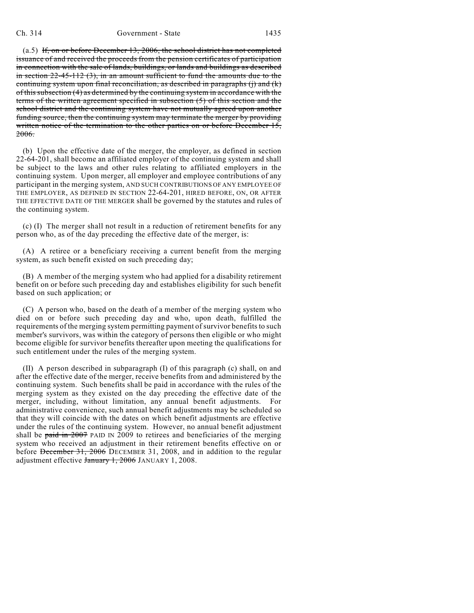(a.5) If, on or before December 13, 2006, the school district has not completed issuance of and received the proceeds from the pension certificates of participation in connection with the sale of lands, buildings, or lands and buildings as described in section 22-45-112 (3), in an amount sufficient to fund the amounts due to the continuing system upon final reconciliation, as described in paragraphs (j) and (k) of this subsection (4) as determined by the continuing system in accordance with the terms of the written agreement specified in subsection (5) of this section and the school district and the continuing system have not mutually agreed upon another funding source, then the continuing system may terminate the merger by providing written notice of the termination to the other parties on or before December 15, 2006.

(b) Upon the effective date of the merger, the employer, as defined in section 22-64-201, shall become an affiliated employer of the continuing system and shall be subject to the laws and other rules relating to affiliated employers in the continuing system. Upon merger, all employer and employee contributions of any participant in the merging system, AND SUCH CONTRIBUTIONS OF ANY EMPLOYEE OF THE EMPLOYER, AS DEFINED IN SECTION 22-64-201, HIRED BEFORE, ON, OR AFTER THE EFFECTIVE DATE OF THE MERGER shall be governed by the statutes and rules of the continuing system.

(c) (I) The merger shall not result in a reduction of retirement benefits for any person who, as of the day preceding the effective date of the merger, is:

(A) A retiree or a beneficiary receiving a current benefit from the merging system, as such benefit existed on such preceding day;

(B) A member of the merging system who had applied for a disability retirement benefit on or before such preceding day and establishes eligibility for such benefit based on such application; or

(C) A person who, based on the death of a member of the merging system who died on or before such preceding day and who, upon death, fulfilled the requirements of the merging system permitting payment of survivor benefits to such member's survivors, was within the category of persons then eligible or who might become eligible for survivor benefits thereafter upon meeting the qualifications for such entitlement under the rules of the merging system.

(II) A person described in subparagraph (I) of this paragraph (c) shall, on and after the effective date of the merger, receive benefits from and administered by the continuing system. Such benefits shall be paid in accordance with the rules of the merging system as they existed on the day preceding the effective date of the merger, including, without limitation, any annual benefit adjustments. For administrative convenience, such annual benefit adjustments may be scheduled so that they will coincide with the dates on which benefit adjustments are effective under the rules of the continuing system. However, no annual benefit adjustment shall be paid in  $2007$  PAID IN 2009 to retirees and beneficiaries of the merging system who received an adjustment in their retirement benefits effective on or before December 31, 2006 DECEMBER 31, 2008, and in addition to the regular adjustment effective January 1, 2006 JANUARY 1, 2008.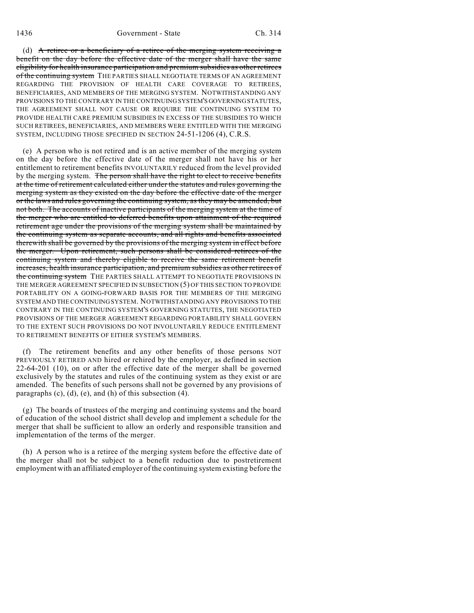(d) A retiree or a beneficiary of a retiree of the merging system receiving a benefit on the day before the effective date of the merger shall have the same eligibility for health insurance participation and premium subsidies as other retirees of the continuing system THE PARTIES SHALL NEGOTIATE TERMS OF AN AGREEMENT REGARDING THE PROVISION OF HEALTH CARE COVERAGE TO RETIREES, BENEFICIARIES, AND MEMBERS OF THE MERGING SYSTEM. NOTWITHSTANDING ANY PROVISIONS TO THE CONTRARY IN THE CONTINUING SYSTEM'S GOVERNING STATUTES, THE AGREEMENT SHALL NOT CAUSE OR REQUIRE THE CONTINUING SYSTEM TO PROVIDE HEALTH CARE PREMIUM SUBSIDIES IN EXCESS OF THE SUBSIDIES TO WHICH SUCH RETIREES, BENEFICIARIES, AND MEMBERS WERE ENTITLED WITH THE MERGING SYSTEM, INCLUDING THOSE SPECIFIED IN SECTION 24-51-1206 (4), C.R.S.

(e) A person who is not retired and is an active member of the merging system on the day before the effective date of the merger shall not have his or her entitlement to retirement benefits INVOLUNTARILY reduced from the level provided by the merging system. The person shall have the right to elect to receive benefits at the time of retirement calculated either under the statutes and rules governing the merging system as they existed on the day before the effective date of the merger or the laws and rules governing the continuing system, as they may be amended, but not both. The accounts of inactive participants of the merging system at the time of the merger who are entitled to deferred benefits upon attainment of the required retirement age under the provisions of the merging system shall be maintained by the continuing system as separate accounts, and all rights and benefits associated therewith shall be governed by the provisions of the merging system in effect before the merger. Upon retirement, such persons shall be considered retirees of the continuing system and thereby eligible to receive the same retirement benefit increases, health insurance participation, and premium subsidies as other retirees of the continuing system THE PARTIES SHALL ATTEMPT TO NEGOTIATE PROVISIONS IN THE MERGER AGREEMENT SPECIFIED IN SUBSECTION (5) OF THIS SECTION TO PROVIDE PORTABILITY ON A GOING-FORWARD BASIS FOR THE MEMBERS OF THE MERGING SYSTEM AND THE CONTINUING SYSTEM. NOTWITHSTANDING ANY PROVISIONS TO THE CONTRARY IN THE CONTINUING SYSTEM'S GOVERNING STATUTES, THE NEGOTIATED PROVISIONS OF THE MERGER AGREEMENT REGARDING PORTABILITY SHALL GOVERN TO THE EXTENT SUCH PROVISIONS DO NOT INVOLUNTARILY REDUCE ENTITLEMENT TO RETIREMENT BENEFITS OF EITHER SYSTEM'S MEMBERS.

(f) The retirement benefits and any other benefits of those persons NOT PREVIOUSLY RETIRED AND hired or rehired by the employer, as defined in section 22-64-201 (10), on or after the effective date of the merger shall be governed exclusively by the statutes and rules of the continuing system as they exist or are amended. The benefits of such persons shall not be governed by any provisions of paragraphs (c), (d), (e), and (h) of this subsection (4).

(g) The boards of trustees of the merging and continuing systems and the board of education of the school district shall develop and implement a schedule for the merger that shall be sufficient to allow an orderly and responsible transition and implementation of the terms of the merger.

(h) A person who is a retiree of the merging system before the effective date of the merger shall not be subject to a benefit reduction due to postretirement employment with an affiliated employer of the continuing system existing before the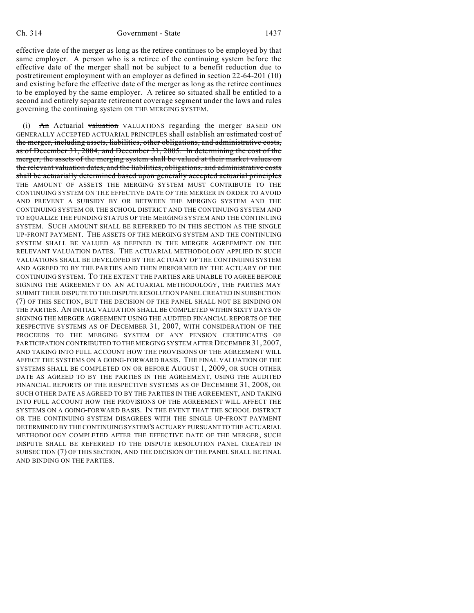effective date of the merger as long as the retiree continues to be employed by that same employer. A person who is a retiree of the continuing system before the effective date of the merger shall not be subject to a benefit reduction due to postretirement employment with an employer as defined in section 22-64-201 (10) and existing before the effective date of the merger as long as the retiree continues to be employed by the same employer. A retiree so situated shall be entitled to a second and entirely separate retirement coverage segment under the laws and rules governing the continuing system OR THE MERGING SYSTEM.

 $(i)$  An Actuarial valuation VALUATIONS regarding the merger BASED ON GENERALLY ACCEPTED ACTUARIAL PRINCIPLES shall establish an estimated cost of the merger, including assets, liabilities, other obligations, and administrative costs, as of December 31, 2004, and December 31, 2005. In determining the cost of the merger, the assets of the merging system shall be valued at their market values on the relevant valuation dates, and the liabilities, obligations, and administrative costs shall be actuarially determined based upon generally accepted actuarial principles THE AMOUNT OF ASSETS THE MERGING SYSTEM MUST CONTRIBUTE TO THE CONTINUING SYSTEM ON THE EFFECTIVE DATE OF THE MERGER IN ORDER TO AVOID AND PREVENT A SUBSIDY BY OR BETWEEN THE MERGING SYSTEM AND THE CONTINUING SYSTEM OR THE SCHOOL DISTRICT AND THE CONTINUING SYSTEM AND TO EQUALIZE THE FUNDING STATUS OF THE MERGING SYSTEM AND THE CONTINUING SYSTEM. SUCH AMOUNT SHALL BE REFERRED TO IN THIS SECTION AS THE SINGLE UP-FRONT PAYMENT. THE ASSETS OF THE MERGING SYSTEM AND THE CONTINUING SYSTEM SHALL BE VALUED AS DEFINED IN THE MERGER AGREEMENT ON THE RELEVANT VALUATION DATES. THE ACTUARIAL METHODOLOGY APPLIED IN SUCH VALUATIONS SHALL BE DEVELOPED BY THE ACTUARY OF THE CONTINUING SYSTEM AND AGREED TO BY THE PARTIES AND THEN PERFORMED BY THE ACTUARY OF THE CONTINUING SYSTEM. TO THE EXTENT THE PARTIES ARE UNABLE TO AGREE BEFORE SIGNING THE AGREEMENT ON AN ACTUARIAL METHODOLOGY, THE PARTIES MAY SUBMIT THEIR DISPUTE TO THE DISPUTE RESOLUTION PANEL CREATED IN SUBSECTION (7) OF THIS SECTION, BUT THE DECISION OF THE PANEL SHALL NOT BE BINDING ON THE PARTIES. AN INITIAL VALUATION SHALL BE COMPLETED WITHIN SIXTY DAYS OF SIGNING THE MERGER AGREEMENT USING THE AUDITED FINANCIAL REPORTS OF THE RESPECTIVE SYSTEMS AS OF DECEMBER 31, 2007, WITH CONSIDERATION OF THE PROCEEDS TO THE MERGING SYSTEM OF ANY PENSION CERTIFICATES OF PARTICIPATION CONTRIBUTED TO THE MERGING SYSTEM AFTER DECEMBER 31, 2007, AND TAKING INTO FULL ACCOUNT HOW THE PROVISIONS OF THE AGREEMENT WILL AFFECT THE SYSTEMS ON A GOING-FORWARD BASIS. THE FINAL VALUATION OF THE SYSTEMS SHALL BE COMPLETED ON OR BEFORE AUGUST 1, 2009, OR SUCH OTHER DATE AS AGREED TO BY THE PARTIES IN THE AGREEMENT, USING THE AUDITED FINANCIAL REPORTS OF THE RESPECTIVE SYSTEMS AS OF DECEMBER 31, 2008, OR SUCH OTHER DATE AS AGREED TO BY THE PARTIES IN THE AGREEMENT, AND TAKING INTO FULL ACCOUNT HOW THE PROVISIONS OF THE AGREEMENT WILL AFFECT THE SYSTEMS ON A GOING-FORWARD BASIS. IN THE EVENT THAT THE SCHOOL DISTRICT OR THE CONTINUING SYSTEM DISAGREES WITH THE SINGLE UP-FRONT PAYMENT DETERMINED BY THE CONTINUING SYSTEM'S ACTUARY PURSUANT TO THE ACTUARIAL METHODOLOGY COMPLETED AFTER THE EFFECTIVE DATE OF THE MERGER, SUCH DISPUTE SHALL BE REFERRED TO THE DISPUTE RESOLUTION PANEL CREATED IN SUBSECTION (7) OF THIS SECTION, AND THE DECISION OF THE PANEL SHALL BE FINAL AND BINDING ON THE PARTIES.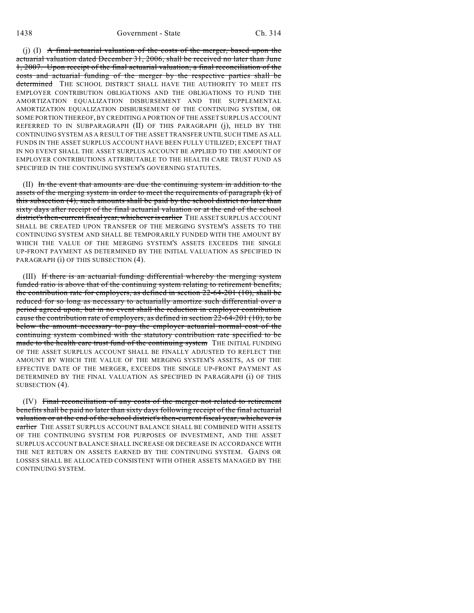(j) (I)  $\mathbf{A}$  final actuarial valuation of the costs of the merger, based upon the actuarial valuation dated December 31, 2006, shall be received no later than June 1, 2007. Upon receipt of the final actuarial valuation, a final reconciliation of the costs and actuarial funding of the merger by the respective parties shall be determined THE SCHOOL DISTRICT SHALL HAVE THE AUTHORITY TO MEET ITS EMPLOYER CONTRIBUTION OBLIGATIONS AND THE OBLIGATIONS TO FUND THE AMORTIZATION EQUALIZATION DISBURSEMENT AND THE SUPPLEMENTAL AMORTIZATION EQUALIZATION DISBURSEMENT OF THE CONTINUING SYSTEM, OR SOME PORTION THEREOF, BY CREDITING A PORTION OF THE ASSET SURPLUS ACCOUNT REFERRED TO IN SUBPARAGRAPH (II) OF THIS PARAGRAPH (j), HELD BY THE CONTINUING SYSTEM AS A RESULT OF THE ASSET TRANSFER UNTIL SUCH TIME AS ALL FUNDS IN THE ASSET SURPLUS ACCOUNT HAVE BEEN FULLY UTILIZED; EXCEPT THAT IN NO EVENT SHALL THE ASSET SURPLUS ACCOUNT BE APPLIED TO THE AMOUNT OF EMPLOYER CONTRIBUTIONS ATTRIBUTABLE TO THE HEALTH CARE TRUST FUND AS SPECIFIED IN THE CONTINUING SYSTEM'S GOVERNING STATUTES.

(II) In the event that amounts are due the continuing system in addition to the assets of the merging system in order to meet the requirements of paragraph (k) of this subsection (4), such amounts shall be paid by the school district no later than sixty days after receipt of the final actuarial valuation or at the end of the school district's then-current fiscal year, whichever is earlier THE ASSET SURPLUS ACCOUNT SHALL BE CREATED UPON TRANSFER OF THE MERGING SYSTEM'S ASSETS TO THE CONTINUING SYSTEM AND SHALL BE TEMPORARILY FUNDED WITH THE AMOUNT BY WHICH THE VALUE OF THE MERGING SYSTEM'S ASSETS EXCEEDS THE SINGLE UP-FRONT PAYMENT AS DETERMINED BY THE INITIAL VALUATION AS SPECIFIED IN PARAGRAPH (i) OF THIS SUBSECTION (4).

(III) If there is an actuarial funding differential whereby the merging system funded ratio is above that of the continuing system relating to retirement benefits, the contribution rate for employers, as defined in section  $22-64-201$  (10), shall be reduced for so long as necessary to actuarially amortize such differential over a period agreed upon, but in no event shall the reduction in employer contribution cause the contribution rate of employers, as defined in section 22-64-201 (10), to be below the amount necessary to pay the employer actuarial normal cost of the continuing system combined with the statutory contribution rate specified to be made to the health care trust fund of the continuing system THE INITIAL FUNDING OF THE ASSET SURPLUS ACCOUNT SHALL BE FINALLY ADJUSTED TO REFLECT THE AMOUNT BY WHICH THE VALUE OF THE MERGING SYSTEM'S ASSETS, AS OF THE EFFECTIVE DATE OF THE MERGER, EXCEEDS THE SINGLE UP-FRONT PAYMENT AS DETERMINED BY THE FINAL VALUATION AS SPECIFIED IN PARAGRAPH (i) OF THIS SUBSECTION (4).

(IV) Final reconciliation of any costs of the merger not related to retirement benefits shall be paid no later than sixty days following receipt of the final actuarial valuation or at the end of the school district's then-current fiscal year, whichever is earlier THE ASSET SURPLUS ACCOUNT BALANCE SHALL BE COMBINED WITH ASSETS OF THE CONTINUING SYSTEM FOR PURPOSES OF INVESTMENT, AND THE ASSET SURPLUS ACCOUNT BALANCE SHALL INCREASE OR DECREASE IN ACCORDANCE WITH THE NET RETURN ON ASSETS EARNED BY THE CONTINUING SYSTEM. GAINS OR LOSSES SHALL BE ALLOCATED CONSISTENT WITH OTHER ASSETS MANAGED BY THE CONTINUING SYSTEM.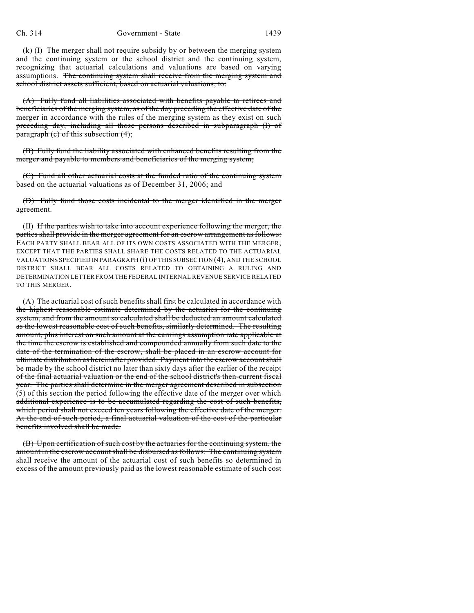(k) (I) The merger shall not require subsidy by or between the merging system and the continuing system or the school district and the continuing system, recognizing that actuarial calculations and valuations are based on varying assumptions. The continuing system shall receive from the merging system and school district assets sufficient, based on actuarial valuations, to:

(A) Fully fund all liabilities associated with benefits payable to retirees and beneficiaries of the merging system, as of the day preceding the effective date of the merger in accordance with the rules of the merging system as they exist on such preceding day, including all those persons described in subparagraph (I) of paragraph (c) of this subsection (4);

(B) Fully fund the liability associated with enhanced benefits resulting from the merger and payable to members and beneficiaries of the merging system;

(C) Fund all other actuarial costs at the funded ratio of the continuing system based on the actuarial valuations as of December 31, 2006; and

(D) Fully fund those costs incidental to the merger identified in the merger agreement.

(II) If the parties wish to take into account experience following the merger, the parties shall provide in the merger agreement for an escrow arrangement as follows: EACH PARTY SHALL BEAR ALL OF ITS OWN COSTS ASSOCIATED WITH THE MERGER; EXCEPT THAT THE PARTIES SHALL SHARE THE COSTS RELATED TO THE ACTUARIAL VALUATIONS SPECIFIED IN PARAGRAPH (i) OF THIS SUBSECTION (4), AND THE SCHOOL DISTRICT SHALL BEAR ALL COSTS RELATED TO OBTAINING A RULING AND DETERMINATION LETTER FROM THE FEDERAL INTERNAL REVENUE SERVICE RELATED TO THIS MERGER.

(A) The actuarial cost of such benefits shall first be calculated in accordance with the highest reasonable estimate determined by the actuaries for the continuing system, and from the amount so calculated shall be deducted an amount calculated as the lowest reasonable cost of such benefits, similarly determined. The resulting amount, plus interest on such amount at the earnings assumption rate applicable at the time the escrow is established and compounded annually from such date to the date of the termination of the escrow, shall be placed in an escrow account for ultimate distribution as hereinafter provided. Payment into the escrow account shall be made by the school district no later than sixty days after the earlier of the receipt of the final actuarial valuation or the end of the school district's then-current fiscal year. The parties shall determine in the merger agreement described in subsection (5) of this section the period following the effective date of the merger over which additional experience is to be accumulated regarding the cost of such benefits, which period shall not exceed ten years following the effective date of the merger. At the end of such period, a final actuarial valuation of the cost of the particular benefits involved shall be made.

(B) Upon certification of such cost by the actuaries for the continuing system, the amount in the escrow account shall be disbursed as follows: The continuing system shall receive the amount of the actuarial cost of such benefits so determined in excess of the amount previously paid as the lowest reasonable estimate of such cost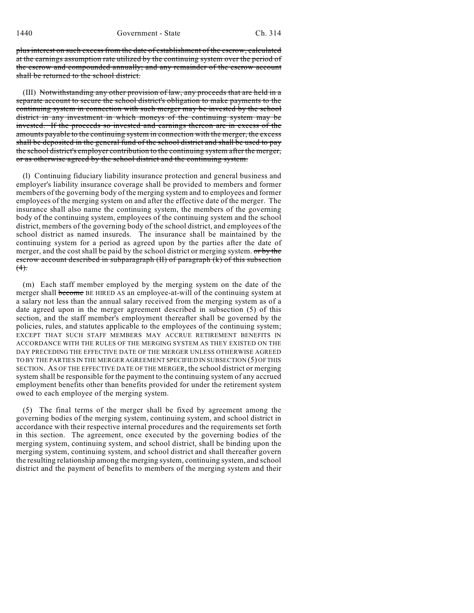plus interest on such excess from the date of establishment of the escrow, calculated at the earnings assumption rate utilized by the continuing system over the period of the escrow and compounded annually; and any remainder of the escrow account shall be returned to the school district.

(III) Notwithstanding any other provision of law, any proceeds that are held in a separate account to secure the school district's obligation to make payments to the continuing system in connection with such merger may be invested by the school district in any investment in which moneys of the continuing system may be invested. If the proceeds so invested and earnings thereon are in excess of the amounts payable to the continuing system in connection with the merger, the excess shall be deposited in the general fund of the school district and shall be used to pay the school district's employer contribution to the continuing system after the merger, or as otherwise agreed by the school district and the continuing system.

(l) Continuing fiduciary liability insurance protection and general business and employer's liability insurance coverage shall be provided to members and former members of the governing body of the merging system and to employees and former employees of the merging system on and after the effective date of the merger. The insurance shall also name the continuing system, the members of the governing body of the continuing system, employees of the continuing system and the school district, members of the governing body of the school district, and employees of the school district as named insureds. The insurance shall be maintained by the continuing system for a period as agreed upon by the parties after the date of merger, and the cost shall be paid by the school district or merging system. or by the escrow account described in subparagraph (II) of paragraph (k) of this subsection  $(4)$ .

(m) Each staff member employed by the merging system on the date of the merger shall become BE HIRED AS an employee-at-will of the continuing system at a salary not less than the annual salary received from the merging system as of a date agreed upon in the merger agreement described in subsection (5) of this section, and the staff member's employment thereafter shall be governed by the policies, rules, and statutes applicable to the employees of the continuing system; EXCEPT THAT SUCH STAFF MEMBERS MAY ACCRUE RETIREMENT BENEFITS IN ACCORDANCE WITH THE RULES OF THE MERGING SYSTEM AS THEY EXISTED ON THE DAY PRECEDING THE EFFECTIVE DATE OF THE MERGER UNLESS OTHERWISE AGREED TO BY THE PARTIES IN THE MERGER AGREEMENT SPECIFIED IN SUBSECTION (5) OF THIS SECTION. AS OF THE EFFECTIVE DATE OF THE MERGER, the school district or merging system shall be responsible for the payment to the continuing system of any accrued employment benefits other than benefits provided for under the retirement system owed to each employee of the merging system.

(5) The final terms of the merger shall be fixed by agreement among the governing bodies of the merging system, continuing system, and school district in accordance with their respective internal procedures and the requirements set forth in this section. The agreement, once executed by the governing bodies of the merging system, continuing system, and school district, shall be binding upon the merging system, continuing system, and school district and shall thereafter govern the resulting relationship among the merging system, continuing system, and school district and the payment of benefits to members of the merging system and their